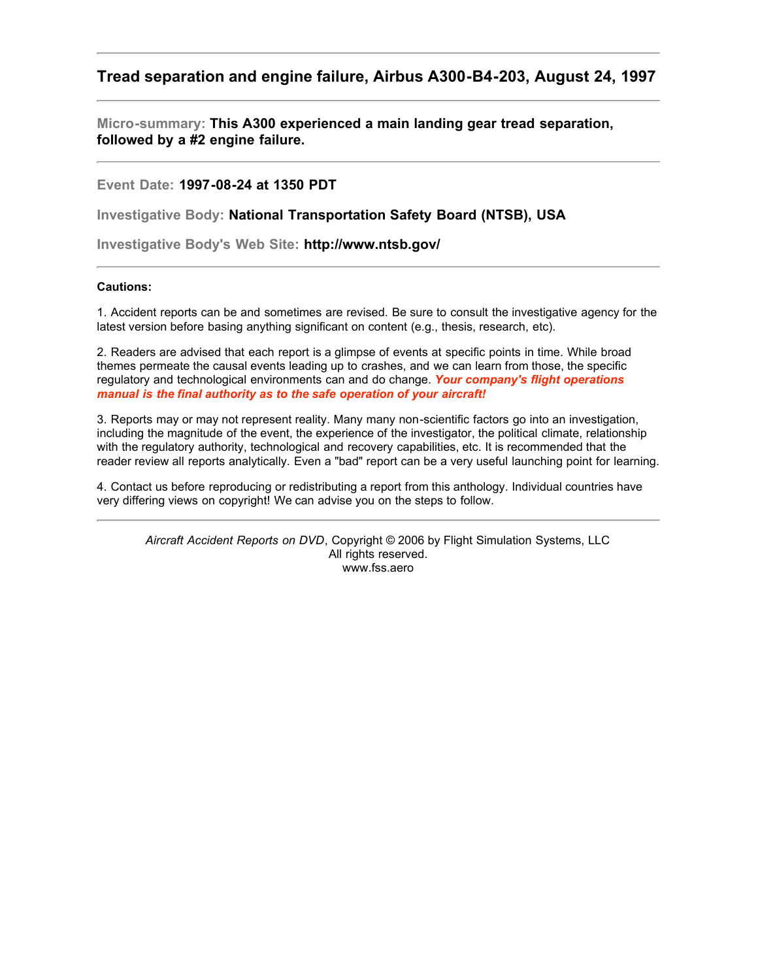## **Tread separation and engine failure, Airbus A300-B4-203, August 24, 1997**

**Micro-summary: This A300 experienced a main landing gear tread separation, followed by a #2 engine failure.**

**Event Date: 1997-08-24 at 1350 PDT**

**Investigative Body: National Transportation Safety Board (NTSB), USA**

**Investigative Body's Web Site: http://www.ntsb.gov/**

## **Cautions:**

1. Accident reports can be and sometimes are revised. Be sure to consult the investigative agency for the latest version before basing anything significant on content (e.g., thesis, research, etc).

2. Readers are advised that each report is a glimpse of events at specific points in time. While broad themes permeate the causal events leading up to crashes, and we can learn from those, the specific regulatory and technological environments can and do change. *Your company's flight operations manual is the final authority as to the safe operation of your aircraft!*

3. Reports may or may not represent reality. Many many non-scientific factors go into an investigation, including the magnitude of the event, the experience of the investigator, the political climate, relationship with the regulatory authority, technological and recovery capabilities, etc. It is recommended that the reader review all reports analytically. Even a "bad" report can be a very useful launching point for learning.

4. Contact us before reproducing or redistributing a report from this anthology. Individual countries have very differing views on copyright! We can advise you on the steps to follow.

*Aircraft Accident Reports on DVD*, Copyright © 2006 by Flight Simulation Systems, LLC All rights reserved. www.fss.aero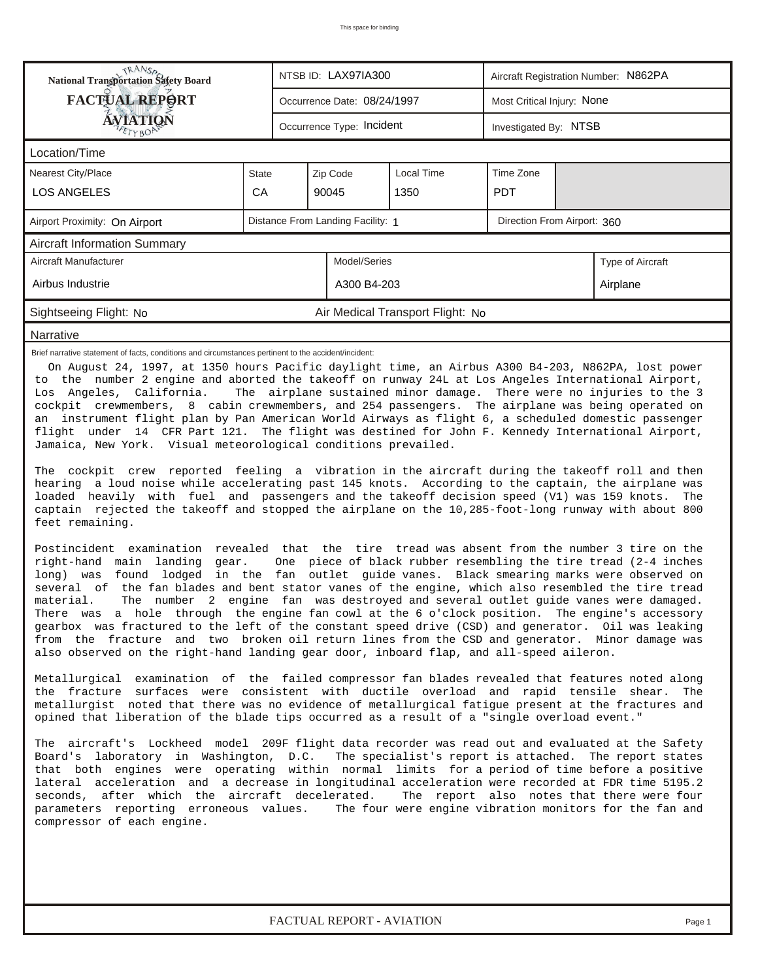| <b>National Transportation Safety Board</b>                                                                                                                                                                                                                                                                                                                                                                                                                                                                                                                                                                                                                                                                                                                                                                                                                                                                                                                                                                                                                                                                                                                                                                                                                                                                                                                                                                                                                                                                                                                                                                                                                                                                                                                                                                                                                                                                                                                                                                                                                                                                                                                                                                                                                                                                                                                                                                                                                                                                                                                                                                                                                                                                                                                                                                                                                                                                                                                                                                                                                                                                                                                                                                                                            |       | NTSB ID: LAX97IA300 |                             | Aircraft Registration Number: N862PA |                            |                       |                  |  |  |  |
|--------------------------------------------------------------------------------------------------------------------------------------------------------------------------------------------------------------------------------------------------------------------------------------------------------------------------------------------------------------------------------------------------------------------------------------------------------------------------------------------------------------------------------------------------------------------------------------------------------------------------------------------------------------------------------------------------------------------------------------------------------------------------------------------------------------------------------------------------------------------------------------------------------------------------------------------------------------------------------------------------------------------------------------------------------------------------------------------------------------------------------------------------------------------------------------------------------------------------------------------------------------------------------------------------------------------------------------------------------------------------------------------------------------------------------------------------------------------------------------------------------------------------------------------------------------------------------------------------------------------------------------------------------------------------------------------------------------------------------------------------------------------------------------------------------------------------------------------------------------------------------------------------------------------------------------------------------------------------------------------------------------------------------------------------------------------------------------------------------------------------------------------------------------------------------------------------------------------------------------------------------------------------------------------------------------------------------------------------------------------------------------------------------------------------------------------------------------------------------------------------------------------------------------------------------------------------------------------------------------------------------------------------------------------------------------------------------------------------------------------------------------------------------------------------------------------------------------------------------------------------------------------------------------------------------------------------------------------------------------------------------------------------------------------------------------------------------------------------------------------------------------------------------------------------------------------------------------------------------------------------------|-------|---------------------|-----------------------------|--------------------------------------|----------------------------|-----------------------|------------------|--|--|--|
| <b>FACTUAL REPORT</b>                                                                                                                                                                                                                                                                                                                                                                                                                                                                                                                                                                                                                                                                                                                                                                                                                                                                                                                                                                                                                                                                                                                                                                                                                                                                                                                                                                                                                                                                                                                                                                                                                                                                                                                                                                                                                                                                                                                                                                                                                                                                                                                                                                                                                                                                                                                                                                                                                                                                                                                                                                                                                                                                                                                                                                                                                                                                                                                                                                                                                                                                                                                                                                                                                                  |       |                     | Occurrence Date: 08/24/1997 |                                      | Most Critical Injury: None |                       |                  |  |  |  |
| AVIATION                                                                                                                                                                                                                                                                                                                                                                                                                                                                                                                                                                                                                                                                                                                                                                                                                                                                                                                                                                                                                                                                                                                                                                                                                                                                                                                                                                                                                                                                                                                                                                                                                                                                                                                                                                                                                                                                                                                                                                                                                                                                                                                                                                                                                                                                                                                                                                                                                                                                                                                                                                                                                                                                                                                                                                                                                                                                                                                                                                                                                                                                                                                                                                                                                                               |       |                     | Occurrence Type: Incident   |                                      |                            | Investigated By: NTSB |                  |  |  |  |
| Location/Time                                                                                                                                                                                                                                                                                                                                                                                                                                                                                                                                                                                                                                                                                                                                                                                                                                                                                                                                                                                                                                                                                                                                                                                                                                                                                                                                                                                                                                                                                                                                                                                                                                                                                                                                                                                                                                                                                                                                                                                                                                                                                                                                                                                                                                                                                                                                                                                                                                                                                                                                                                                                                                                                                                                                                                                                                                                                                                                                                                                                                                                                                                                                                                                                                                          |       |                     |                             |                                      |                            |                       |                  |  |  |  |
| <b>Nearest City/Place</b>                                                                                                                                                                                                                                                                                                                                                                                                                                                                                                                                                                                                                                                                                                                                                                                                                                                                                                                                                                                                                                                                                                                                                                                                                                                                                                                                                                                                                                                                                                                                                                                                                                                                                                                                                                                                                                                                                                                                                                                                                                                                                                                                                                                                                                                                                                                                                                                                                                                                                                                                                                                                                                                                                                                                                                                                                                                                                                                                                                                                                                                                                                                                                                                                                              | State |                     | Zip Code                    | <b>Local Time</b>                    | Time Zone                  |                       |                  |  |  |  |
| <b>LOS ANGELES</b>                                                                                                                                                                                                                                                                                                                                                                                                                                                                                                                                                                                                                                                                                                                                                                                                                                                                                                                                                                                                                                                                                                                                                                                                                                                                                                                                                                                                                                                                                                                                                                                                                                                                                                                                                                                                                                                                                                                                                                                                                                                                                                                                                                                                                                                                                                                                                                                                                                                                                                                                                                                                                                                                                                                                                                                                                                                                                                                                                                                                                                                                                                                                                                                                                                     | CA    |                     | 90045                       | 1350                                 | <b>PDT</b>                 |                       |                  |  |  |  |
| Distance From Landing Facility: 1<br>Direction From Airport: 360<br>Airport Proximity: On Airport                                                                                                                                                                                                                                                                                                                                                                                                                                                                                                                                                                                                                                                                                                                                                                                                                                                                                                                                                                                                                                                                                                                                                                                                                                                                                                                                                                                                                                                                                                                                                                                                                                                                                                                                                                                                                                                                                                                                                                                                                                                                                                                                                                                                                                                                                                                                                                                                                                                                                                                                                                                                                                                                                                                                                                                                                                                                                                                                                                                                                                                                                                                                                      |       |                     |                             |                                      |                            |                       |                  |  |  |  |
| <b>Aircraft Information Summary</b>                                                                                                                                                                                                                                                                                                                                                                                                                                                                                                                                                                                                                                                                                                                                                                                                                                                                                                                                                                                                                                                                                                                                                                                                                                                                                                                                                                                                                                                                                                                                                                                                                                                                                                                                                                                                                                                                                                                                                                                                                                                                                                                                                                                                                                                                                                                                                                                                                                                                                                                                                                                                                                                                                                                                                                                                                                                                                                                                                                                                                                                                                                                                                                                                                    |       |                     |                             |                                      |                            |                       |                  |  |  |  |
| Aircraft Manufacturer                                                                                                                                                                                                                                                                                                                                                                                                                                                                                                                                                                                                                                                                                                                                                                                                                                                                                                                                                                                                                                                                                                                                                                                                                                                                                                                                                                                                                                                                                                                                                                                                                                                                                                                                                                                                                                                                                                                                                                                                                                                                                                                                                                                                                                                                                                                                                                                                                                                                                                                                                                                                                                                                                                                                                                                                                                                                                                                                                                                                                                                                                                                                                                                                                                  |       |                     | Model/Series                |                                      |                            |                       | Type of Aircraft |  |  |  |
| Airbus Industrie                                                                                                                                                                                                                                                                                                                                                                                                                                                                                                                                                                                                                                                                                                                                                                                                                                                                                                                                                                                                                                                                                                                                                                                                                                                                                                                                                                                                                                                                                                                                                                                                                                                                                                                                                                                                                                                                                                                                                                                                                                                                                                                                                                                                                                                                                                                                                                                                                                                                                                                                                                                                                                                                                                                                                                                                                                                                                                                                                                                                                                                                                                                                                                                                                                       |       |                     | A300 B4-203                 |                                      |                            |                       | Airplane         |  |  |  |
| Sightseeing Flight: No                                                                                                                                                                                                                                                                                                                                                                                                                                                                                                                                                                                                                                                                                                                                                                                                                                                                                                                                                                                                                                                                                                                                                                                                                                                                                                                                                                                                                                                                                                                                                                                                                                                                                                                                                                                                                                                                                                                                                                                                                                                                                                                                                                                                                                                                                                                                                                                                                                                                                                                                                                                                                                                                                                                                                                                                                                                                                                                                                                                                                                                                                                                                                                                                                                 |       |                     |                             |                                      |                            |                       |                  |  |  |  |
| Narrative                                                                                                                                                                                                                                                                                                                                                                                                                                                                                                                                                                                                                                                                                                                                                                                                                                                                                                                                                                                                                                                                                                                                                                                                                                                                                                                                                                                                                                                                                                                                                                                                                                                                                                                                                                                                                                                                                                                                                                                                                                                                                                                                                                                                                                                                                                                                                                                                                                                                                                                                                                                                                                                                                                                                                                                                                                                                                                                                                                                                                                                                                                                                                                                                                                              |       |                     |                             |                                      |                            |                       |                  |  |  |  |
| Air Medical Transport Flight: No<br>Brief narrative statement of facts, conditions and circumstances pertinent to the accident/incident:<br>On August 24, 1997, at 1350 hours Pacific daylight time, an Airbus A300 B4-203, N862PA, lost power<br>to the number 2 engine and aborted the takeoff on runway 24L at Los Angeles International Airport,<br>The airplane sustained minor damage. There were no injuries to the 3<br>Los Angeles, California.<br>cockpit crewmembers, 8 cabin crewmembers, and 254 passengers. The airplane was being operated on<br>an instrument flight plan by Pan American World Airways as flight 6, a scheduled domestic passenger<br>flight under 14 CFR Part 121. The flight was destined for John F. Kennedy International Airport,<br>Jamaica, New York. Visual meteorological conditions prevailed.<br>The cockpit crew reported feeling a vibration in the aircraft during the takeoff roll and then<br>hearing a loud noise while accelerating past 145 knots. According to the captain, the airplane was<br>loaded heavily with fuel and passengers and the takeoff decision speed (V1) was 159 knots.<br>The<br>captain rejected the takeoff and stopped the airplane on the 10,285-foot-long runway with about 800<br>feet remaining.<br>Postincident examination revealed that the tire tread was absent from the number 3 tire on the<br>right-hand main landing gear.<br>One piece of black rubber resembling the tire tread (2-4 inches<br>long) was found lodged in the fan outlet guide vanes. Black smearing marks were observed on<br>several of the fan blades and bent stator vanes of the engine, which also resembled the tire tread<br>The number 2 engine fan was destroyed and several outlet guide vanes were damaged.<br>material.<br>There was a hole through the engine fan cowl at the 6 o'clock position. The engine's accessory<br>gearbox was fractured to the left of the constant speed drive (CSD) and generator. Oil was leaking<br>from the fracture and two broken oil return lines from the CSD and generator. Minor damage was<br>also observed on the right-hand landing gear door, inboard flap, and all-speed aileron.<br>Metallurgical examination of the failed compressor fan blades revealed that features noted along<br>the fracture surfaces were consistent with ductile overload and rapid tensile shear.<br>The<br>metallurgist noted that there was no evidence of metallurgical fatigue present at the fractures and<br>opined that liberation of the blade tips occurred as a result of a "single overload event."<br>The aircraft's Lockheed model 209F flight data recorder was read out and evaluated at the Safety<br>Board's laboratory in Washington, D.C. The specialist's report is attached. The report states<br>that both engines were operating within normal limits for a period of time before a positive<br>lateral acceleration and a decrease in longitudinal acceleration were recorded at FDR time 5195.2<br>seconds, after which the aircraft decelerated.<br>The report also notes that there were four<br>parameters reporting erroneous values. The four were engine vibration monitors for the fan and<br>compressor of each engine. |       |                     |                             |                                      |                            |                       |                  |  |  |  |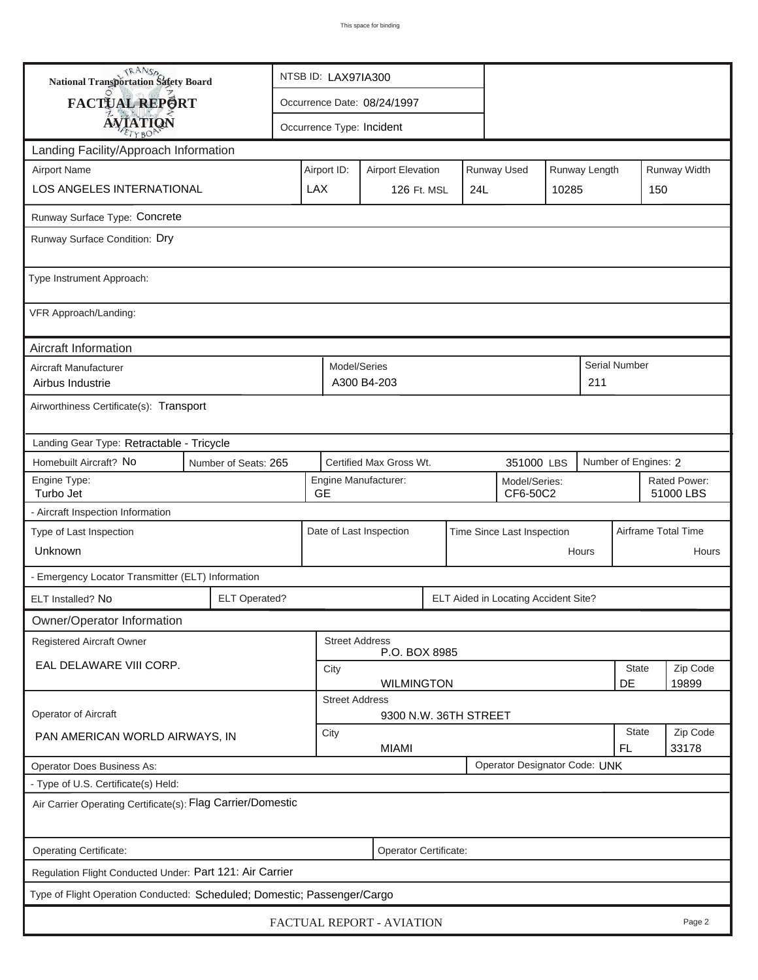| <b>National Transportation Safety Board</b>                              |                                                                | NTSB ID: LAX97IA300                                                     |                             |                         |     |  |                                      |                           |                   |                      |                     |  |
|--------------------------------------------------------------------------|----------------------------------------------------------------|-------------------------------------------------------------------------|-----------------------------|-------------------------|-----|--|--------------------------------------|---------------------------|-------------------|----------------------|---------------------|--|
| FACTUAL REPORT                                                           |                                                                |                                                                         | Occurrence Date: 08/24/1997 |                         |     |  |                                      |                           |                   |                      |                     |  |
| <b>AVIATION</b>                                                          |                                                                |                                                                         | Occurrence Type: Incident   |                         |     |  |                                      |                           |                   |                      |                     |  |
| Landing Facility/Approach Information                                    |                                                                |                                                                         |                             |                         |     |  |                                      |                           |                   |                      |                     |  |
| <b>Airport Name</b>                                                      |                                                                | Runway Used<br>Runway Length<br>Airport ID:<br><b>Airport Elevation</b> |                             |                         |     |  |                                      |                           |                   | Runway Width         |                     |  |
| <b>LOS ANGELES INTERNATIONAL</b>                                         | <b>LAX</b>                                                     |                                                                         | 126 Ft. MSL                 |                         | 24L |  | 10285                                |                           | 150               |                      |                     |  |
| Runway Surface Type: Concrete                                            |                                                                |                                                                         |                             |                         |     |  |                                      |                           |                   |                      |                     |  |
| Runway Surface Condition: Dry                                            |                                                                |                                                                         |                             |                         |     |  |                                      |                           |                   |                      |                     |  |
| Type Instrument Approach:                                                |                                                                |                                                                         |                             |                         |     |  |                                      |                           |                   |                      |                     |  |
| VFR Approach/Landing:                                                    |                                                                |                                                                         |                             |                         |     |  |                                      |                           |                   |                      |                     |  |
| Aircraft Information                                                     |                                                                |                                                                         |                             |                         |     |  |                                      |                           |                   |                      |                     |  |
| Aircraft Manufacturer<br>Airbus Industrie                                |                                                                |                                                                         | Model/Series<br>A300 B4-203 |                         |     |  |                                      |                           | 211               | <b>Serial Number</b> |                     |  |
| Airworthiness Certificate(s): Transport                                  |                                                                |                                                                         |                             |                         |     |  |                                      |                           |                   |                      |                     |  |
| Landing Gear Type: Retractable - Tricycle                                |                                                                |                                                                         |                             |                         |     |  |                                      |                           |                   |                      |                     |  |
| Homebuilt Aircraft? No<br>Number of Seats: 265                           | Certified Max Gross Wt.                                        | 351000 LBS                                                              |                             |                         |     |  | Number of Engines: 2                 |                           |                   |                      |                     |  |
| Engine Type:<br>Turbo Jet                                                | Engine Manufacturer:<br>Model/Series:<br><b>GE</b><br>CF6-50C2 |                                                                         |                             |                         |     |  |                                      | Rated Power:<br>51000 LBS |                   |                      |                     |  |
| - Aircraft Inspection Information                                        |                                                                |                                                                         |                             |                         |     |  |                                      |                           |                   |                      |                     |  |
| Type of Last Inspection                                                  |                                                                |                                                                         |                             | Date of Last Inspection |     |  | Time Since Last Inspection           |                           |                   |                      | Airframe Total Time |  |
| Unknown                                                                  |                                                                |                                                                         |                             |                         |     |  |                                      |                           | Hours             |                      | Hours               |  |
| - Emergency Locator Transmitter (ELT) Information                        |                                                                |                                                                         |                             |                         |     |  |                                      |                           |                   |                      |                     |  |
| ELT Installed? No                                                        | <b>ELT Operated?</b>                                           |                                                                         |                             |                         |     |  | ELT Aided in Locating Accident Site? |                           |                   |                      |                     |  |
| Owner/Operator Information                                               |                                                                |                                                                         |                             |                         |     |  |                                      |                           |                   |                      |                     |  |
| Registered Aircraft Owner                                                |                                                                |                                                                         | <b>Street Address</b>       | P.O. BOX 8985           |     |  |                                      |                           |                   |                      |                     |  |
| EAL DELAWARE VIII CORP.                                                  |                                                                | City<br><b>WILMINGTON</b>                                               |                             |                         |     |  |                                      |                           |                   | <b>State</b>         | Zip Code            |  |
|                                                                          |                                                                |                                                                         | <b>Street Address</b>       |                         |     |  |                                      |                           |                   | DE                   | 19899               |  |
| Operator of Aircraft                                                     |                                                                |                                                                         |                             | 9300 N.W. 36TH STREET   |     |  |                                      |                           |                   |                      |                     |  |
| PAN AMERICAN WORLD AIRWAYS, IN                                           |                                                                | <b>State</b><br>City<br><b>MIAMI</b><br><b>FL</b>                       |                             |                         |     |  |                                      |                           | Zip Code<br>33178 |                      |                     |  |
| <b>Operator Does Business As:</b>                                        |                                                                |                                                                         |                             |                         |     |  | Operator Designator Code: UNK        |                           |                   |                      |                     |  |
| - Type of U.S. Certificate(s) Held:                                      |                                                                |                                                                         |                             |                         |     |  |                                      |                           |                   |                      |                     |  |
| Air Carrier Operating Certificate(s): Flag Carrier/Domestic              |                                                                |                                                                         |                             |                         |     |  |                                      |                           |                   |                      |                     |  |
| Operating Certificate:<br>Operator Certificate:                          |                                                                |                                                                         |                             |                         |     |  |                                      |                           |                   |                      |                     |  |
| Regulation Flight Conducted Under: Part 121: Air Carrier                 |                                                                |                                                                         |                             |                         |     |  |                                      |                           |                   |                      |                     |  |
| Type of Flight Operation Conducted: Scheduled; Domestic; Passenger/Cargo |                                                                |                                                                         |                             |                         |     |  |                                      |                           |                   |                      |                     |  |
| FACTUAL REPORT - AVIATION<br>Page 2                                      |                                                                |                                                                         |                             |                         |     |  |                                      |                           |                   |                      |                     |  |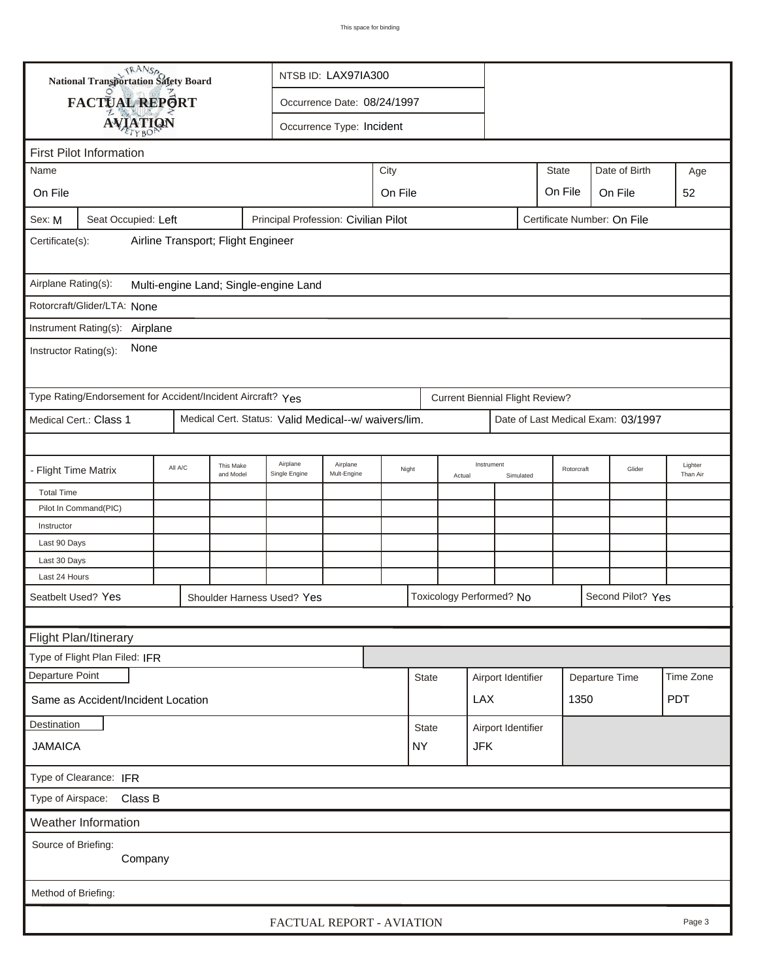| TRANSO.<br>NTSB ID: LAX97IA300<br><b>National Transportation Safety Board</b>                        |                                                             |         |                        |                                                      |                             |                 |                         |            |                                        |                    |                                    |                |                     |            |
|------------------------------------------------------------------------------------------------------|-------------------------------------------------------------|---------|------------------------|------------------------------------------------------|-----------------------------|-----------------|-------------------------|------------|----------------------------------------|--------------------|------------------------------------|----------------|---------------------|------------|
|                                                                                                      | FACTUAL REPORT                                              |         |                        |                                                      | Occurrence Date: 08/24/1997 |                 |                         |            |                                        |                    |                                    |                |                     |            |
|                                                                                                      | <b>AVIATION</b>                                             |         |                        |                                                      | Occurrence Type: Incident   |                 |                         |            |                                        |                    |                                    |                |                     |            |
| <b>First Pilot Information</b>                                                                       |                                                             |         |                        |                                                      |                             |                 |                         |            |                                        |                    |                                    |                |                     |            |
|                                                                                                      | City<br><b>State</b><br>Date of Birth<br>Name<br>Age        |         |                        |                                                      |                             |                 |                         |            |                                        |                    |                                    |                |                     |            |
| On File                                                                                              |                                                             |         |                        |                                                      |                             |                 |                         |            |                                        |                    | On File                            |                |                     |            |
|                                                                                                      |                                                             |         |                        |                                                      | On File<br>On File<br>52    |                 |                         |            |                                        |                    |                                    |                |                     |            |
| Seat Occupied: Left<br>Principal Profession: Civilian Pilot<br>Certificate Number: On File<br>Sex: M |                                                             |         |                        |                                                      |                             |                 |                         |            |                                        |                    |                                    |                |                     |            |
| Airline Transport; Flight Engineer<br>Certificate(s):                                                |                                                             |         |                        |                                                      |                             |                 |                         |            |                                        |                    |                                    |                |                     |            |
| Airplane Rating(s):<br>Multi-engine Land; Single-engine Land                                         |                                                             |         |                        |                                                      |                             |                 |                         |            |                                        |                    |                                    |                |                     |            |
|                                                                                                      | Rotorcraft/Glider/LTA: None                                 |         |                        |                                                      |                             |                 |                         |            |                                        |                    |                                    |                |                     |            |
|                                                                                                      | Instrument Rating(s): Airplane                              |         |                        |                                                      |                             |                 |                         |            |                                        |                    |                                    |                |                     |            |
| None<br>Instructor Rating(s):                                                                        |                                                             |         |                        |                                                      |                             |                 |                         |            |                                        |                    |                                    |                |                     |            |
|                                                                                                      | Type Rating/Endorsement for Accident/Incident Aircraft? Yes |         |                        |                                                      |                             |                 |                         |            | <b>Current Biennial Flight Review?</b> |                    |                                    |                |                     |            |
|                                                                                                      | Medical Cert.: Class 1                                      |         |                        | Medical Cert. Status: Valid Medical--w/ waivers/lim. |                             |                 |                         |            |                                        |                    | Date of Last Medical Exam: 03/1997 |                |                     |            |
|                                                                                                      |                                                             |         |                        |                                                      |                             |                 |                         |            |                                        |                    |                                    |                |                     |            |
| - Flight Time Matrix                                                                                 |                                                             | All A/C | This Make<br>and Model | Airplane<br>Single Engine                            | Airplane<br>Mult-Engine     | Night<br>Actual |                         | Instrument | Simulated                              | Rotorcraft         |                                    | Glider         | Lighter<br>Than Air |            |
| <b>Total Time</b>                                                                                    |                                                             |         |                        |                                                      |                             |                 |                         |            |                                        |                    |                                    |                |                     |            |
|                                                                                                      | Pilot In Command(PIC)                                       |         |                        |                                                      |                             |                 |                         |            |                                        |                    |                                    |                |                     |            |
| Instructor                                                                                           |                                                             |         |                        |                                                      |                             |                 |                         |            |                                        |                    |                                    |                |                     |            |
| Last 90 Days<br>Last 30 Days                                                                         |                                                             |         |                        |                                                      |                             |                 |                         |            |                                        |                    |                                    |                |                     |            |
| Last 24 Hours                                                                                        |                                                             |         |                        |                                                      |                             |                 |                         |            |                                        |                    |                                    |                |                     |            |
| Seatbelt Used? Yes                                                                                   |                                                             |         |                        | Shoulder Harness Used? Yes                           |                             |                 |                         |            | Toxicology Performed? No               |                    |                                    |                | Second Pilot? Yes   |            |
|                                                                                                      |                                                             |         |                        |                                                      |                             |                 |                         |            |                                        |                    |                                    |                |                     |            |
| Flight Plan/Itinerary                                                                                |                                                             |         |                        |                                                      |                             |                 |                         |            |                                        |                    |                                    |                |                     |            |
|                                                                                                      | Type of Flight Plan Filed: IFR                              |         |                        |                                                      |                             |                 |                         |            |                                        |                    |                                    |                |                     |            |
| Departure Point                                                                                      |                                                             |         |                        |                                                      |                             |                 | <b>State</b>            |            | Airport Identifier                     |                    |                                    | Departure Time |                     | Time Zone  |
| Same as Accident/Incident Location                                                                   |                                                             |         |                        |                                                      |                             |                 |                         |            | <b>LAX</b>                             |                    |                                    | 1350           |                     | <b>PDT</b> |
| Destination                                                                                          |                                                             |         |                        |                                                      |                             |                 | State                   |            |                                        | Airport Identifier |                                    |                |                     |            |
| <b>JAMAICA</b>                                                                                       |                                                             |         |                        |                                                      |                             |                 | <b>NY</b><br><b>JFK</b> |            |                                        |                    |                                    |                |                     |            |
| Type of Clearance: IFR                                                                               |                                                             |         |                        |                                                      |                             |                 |                         |            |                                        |                    |                                    |                |                     |            |
| Type of Airspace: Class B                                                                            |                                                             |         |                        |                                                      |                             |                 |                         |            |                                        |                    |                                    |                |                     |            |
| <b>Weather Information</b>                                                                           |                                                             |         |                        |                                                      |                             |                 |                         |            |                                        |                    |                                    |                |                     |            |
| Source of Briefing:<br>Company                                                                       |                                                             |         |                        |                                                      |                             |                 |                         |            |                                        |                    |                                    |                |                     |            |
| Method of Briefing:                                                                                  |                                                             |         |                        |                                                      |                             |                 |                         |            |                                        |                    |                                    |                |                     |            |
| FACTUAL REPORT - AVIATION<br>Page 3                                                                  |                                                             |         |                        |                                                      |                             |                 |                         |            |                                        |                    |                                    |                |                     |            |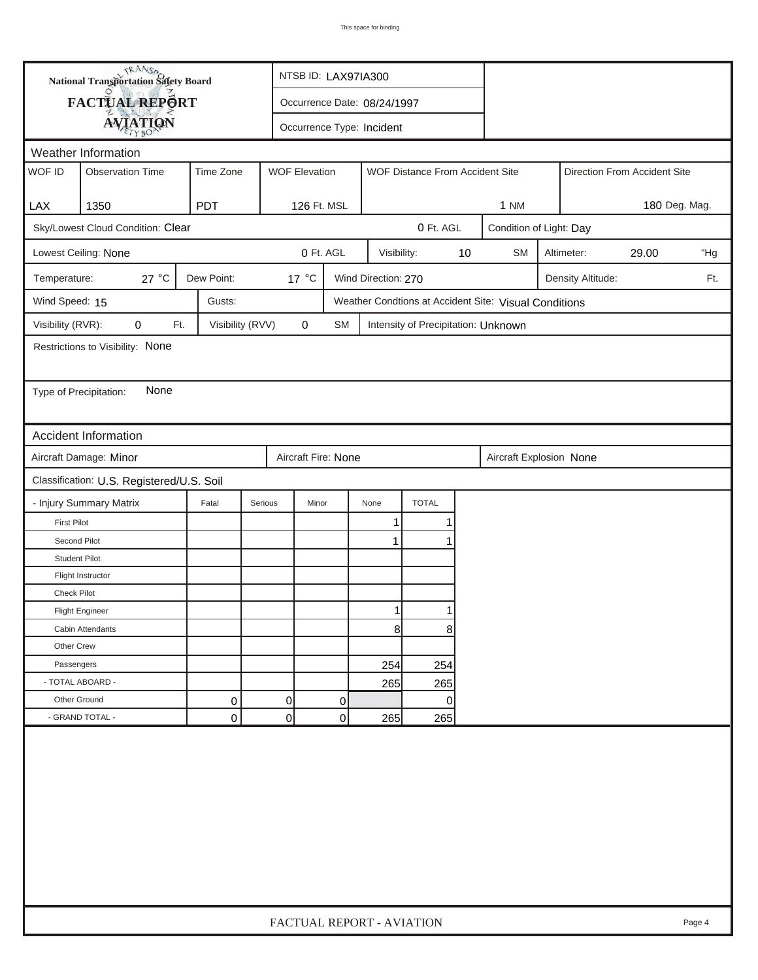| <b>National Transportation Safety Board</b>   |                                                                                                                        |                  |                | NTSB ID: LAX97IA300                               |                             |             |                                     |                         |                                                       |                         |            |                              |     |  |
|-----------------------------------------------|------------------------------------------------------------------------------------------------------------------------|------------------|----------------|---------------------------------------------------|-----------------------------|-------------|-------------------------------------|-------------------------|-------------------------------------------------------|-------------------------|------------|------------------------------|-----|--|
|                                               | FACTUAL REPORT                                                                                                         |                  |                |                                                   | Occurrence Date: 08/24/1997 |             |                                     |                         |                                                       |                         |            |                              |     |  |
|                                               | <b>AVIATION</b>                                                                                                        |                  |                | Occurrence Type: Incident                         |                             |             |                                     |                         |                                                       |                         |            |                              |     |  |
|                                               |                                                                                                                        |                  |                |                                                   |                             |             |                                     |                         |                                                       |                         |            |                              |     |  |
| WOF ID                                        | Weather Information<br><b>WOF Elevation</b><br><b>Observation Time</b><br>Time Zone<br>WOF Distance From Accident Site |                  |                |                                                   |                             |             |                                     |                         |                                                       |                         |            | Direction From Accident Site |     |  |
|                                               |                                                                                                                        |                  |                |                                                   |                             |             |                                     |                         |                                                       |                         |            |                              |     |  |
| LAX                                           | 1350                                                                                                                   | <b>PDT</b>       |                | 126 Ft. MSL                                       |                             |             |                                     |                         | <b>1 NM</b>                                           | 180 Deg. Mag.           |            |                              |     |  |
|                                               | Sky/Lowest Cloud Condition: Clear                                                                                      |                  |                | 0 Ft. AGL                                         |                             |             |                                     |                         |                                                       | Condition of Light: Day |            |                              |     |  |
|                                               | Lowest Ceiling: None                                                                                                   |                  |                | 0 Ft. AGL                                         |                             | Visibility: |                                     | 10                      | <b>SM</b>                                             |                         | Altimeter: | 29.00                        | "Hg |  |
| Temperature:                                  | 27 °C                                                                                                                  | Dew Point:       |                | 17 °C<br>Wind Direction: 270<br>Density Altitude: |                             |             |                                     |                         |                                                       |                         |            |                              | Ft. |  |
| Wind Speed: 15                                |                                                                                                                        | Gusts:           |                |                                                   |                             |             |                                     |                         | Weather Condtions at Accident Site: Visual Conditions |                         |            |                              |     |  |
| Visibility (RVR):                             | 0<br>Ft.                                                                                                               | Visibility (RVV) |                | 0                                                 | SM                          |             | Intensity of Precipitation: Unknown |                         |                                                       |                         |            |                              |     |  |
|                                               | Restrictions to Visibility: None                                                                                       |                  |                |                                                   |                             |             |                                     |                         |                                                       |                         |            |                              |     |  |
|                                               |                                                                                                                        |                  |                |                                                   |                             |             |                                     |                         |                                                       |                         |            |                              |     |  |
| Type of Precipitation:                        | None                                                                                                                   |                  |                |                                                   |                             |             |                                     |                         |                                                       |                         |            |                              |     |  |
|                                               |                                                                                                                        |                  |                |                                                   |                             |             |                                     |                         |                                                       |                         |            |                              |     |  |
|                                               | <b>Accident Information</b>                                                                                            |                  |                |                                                   |                             |             |                                     |                         |                                                       |                         |            |                              |     |  |
| Aircraft Damage: Minor<br>Aircraft Fire: None |                                                                                                                        |                  |                |                                                   |                             |             |                                     | Aircraft Explosion None |                                                       |                         |            |                              |     |  |
|                                               | Classification: U.S. Registered/U.S. Soil                                                                              |                  |                |                                                   |                             |             |                                     |                         |                                                       |                         |            |                              |     |  |
|                                               | - Injury Summary Matrix                                                                                                | Fatal            | Serious        | Minor                                             |                             | None        | <b>TOTAL</b>                        |                         |                                                       |                         |            |                              |     |  |
| <b>First Pilot</b>                            |                                                                                                                        |                  |                |                                                   |                             | 1           | 1                                   |                         |                                                       |                         |            |                              |     |  |
| Second Pilot                                  |                                                                                                                        |                  |                |                                                   |                             | 1           | 1                                   |                         |                                                       |                         |            |                              |     |  |
| <b>Student Pilot</b>                          |                                                                                                                        |                  |                |                                                   |                             |             |                                     |                         |                                                       |                         |            |                              |     |  |
|                                               | Flight Instructor                                                                                                      |                  |                |                                                   |                             |             |                                     |                         |                                                       |                         |            |                              |     |  |
| <b>Check Pilot</b>                            |                                                                                                                        |                  |                |                                                   |                             |             |                                     |                         |                                                       |                         |            |                              |     |  |
|                                               | <b>Flight Engineer</b>                                                                                                 |                  |                |                                                   |                             | 1           |                                     |                         |                                                       |                         |            |                              |     |  |
|                                               | Cabin Attendants                                                                                                       |                  |                |                                                   |                             | 8           | 8                                   |                         |                                                       |                         |            |                              |     |  |
| Other Crew                                    |                                                                                                                        |                  |                |                                                   |                             |             |                                     |                         |                                                       |                         |            |                              |     |  |
| Passengers                                    |                                                                                                                        |                  |                |                                                   |                             | 254         | 254                                 |                         |                                                       |                         |            |                              |     |  |
| - TOTAL ABOARD -                              |                                                                                                                        |                  |                |                                                   |                             | 265         | 265                                 |                         |                                                       |                         |            |                              |     |  |
| Other Ground                                  |                                                                                                                        | 0                | $\overline{0}$ |                                                   | 0                           |             | $\overline{0}$                      |                         |                                                       |                         |            |                              |     |  |
|                                               | - GRAND TOTAL -                                                                                                        | 0                |                | 0                                                 | 0                           | 265         | 265                                 |                         |                                                       |                         |            |                              |     |  |
|                                               |                                                                                                                        |                  |                |                                                   |                             |             |                                     |                         |                                                       |                         |            |                              |     |  |
|                                               | FACTUAL REPORT - AVIATION<br>Page 4                                                                                    |                  |                |                                                   |                             |             |                                     |                         |                                                       |                         |            |                              |     |  |